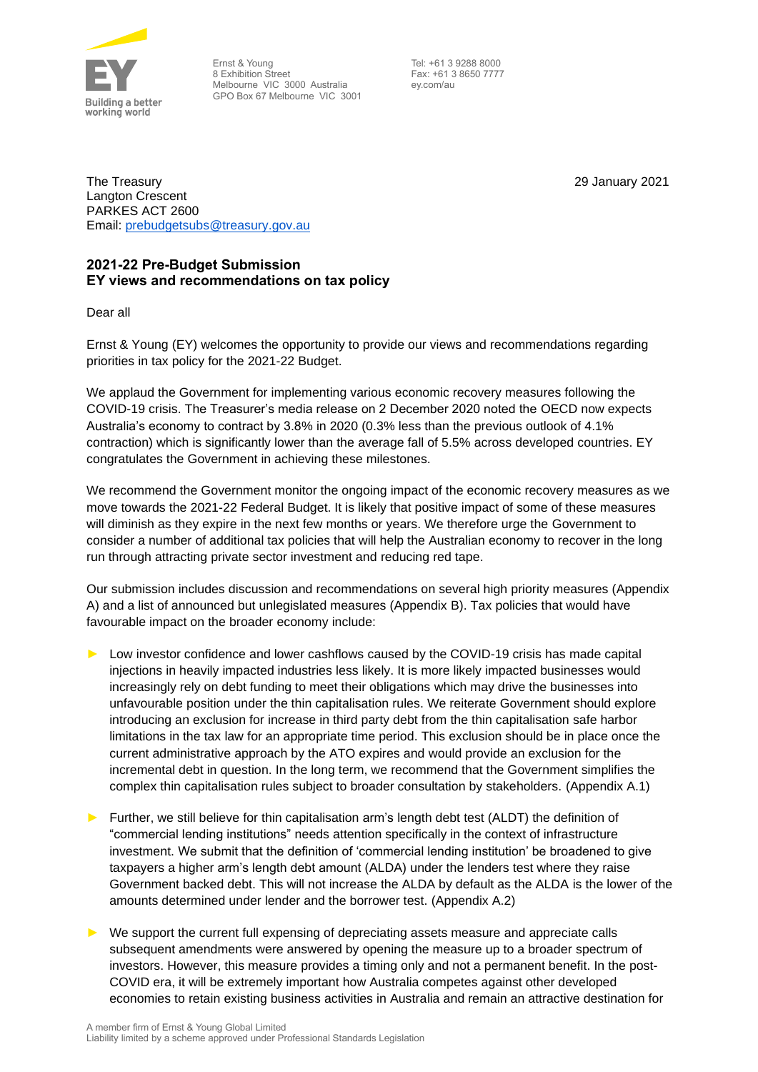

Ernst & Young 8 Exhibition Street Melbourne VIC 3000 Australia GPO Box 67 Melbourne VIC 3001

Tel: +61 3 9288 8000 Fax: +61 3 8650 7777 ey.com/au

29 January 2021

The Treasury Langton Crescent PARKES ACT 2600 Email: [prebudgetsubs@treasury.gov.au](mailto:prebudgetsubs@treasury.gov.au)

# **2021-22 Pre-Budget Submission EY views and recommendations on tax policy**

Dear all

Ernst & Young (EY) welcomes the opportunity to provide our views and recommendations regarding priorities in tax policy for the 2021-22 Budget.

We applaud the Government for implementing various economic recovery measures following the COVID-19 crisis. The Treasurer's media release on 2 December 2020 noted the OECD now expects Australia's economy to contract by 3.8% in 2020 (0.3% less than the previous outlook of 4.1% contraction) which is significantly lower than the average fall of 5.5% across developed countries. EY congratulates the Government in achieving these milestones.

We recommend the Government monitor the ongoing impact of the economic recovery measures as we move towards the 2021-22 Federal Budget. It is likely that positive impact of some of these measures will diminish as they expire in the next few months or years. We therefore urge the Government to consider a number of additional tax policies that will help the Australian economy to recover in the long run through attracting private sector investment and reducing red tape.

Our submission includes discussion and recommendations on several high priority measures (Appendix A) and a list of announced but unlegislated measures (Appendix B). Tax policies that would have favourable impact on the broader economy include:

- Low investor confidence and lower cashflows caused by the COVID-19 crisis has made capital injections in heavily impacted industries less likely. It is more likely impacted businesses would increasingly rely on debt funding to meet their obligations which may drive the businesses into unfavourable position under the thin capitalisation rules. We reiterate Government should explore introducing an exclusion for increase in third party debt from the thin capitalisation safe harbor limitations in the tax law for an appropriate time period. This exclusion should be in place once the current administrative approach by the ATO expires and would provide an exclusion for the incremental debt in question. In the long term, we recommend that the Government simplifies the complex thin capitalisation rules subject to broader consultation by stakeholders. (Appendix A.1)
- Further, we still believe for thin capitalisation arm's length debt test (ALDT) the definition of "commercial lending institutions" needs attention specifically in the context of infrastructure investment. We submit that the definition of 'commercial lending institution' be broadened to give taxpayers a higher arm's length debt amount (ALDA) under the lenders test where they raise Government backed debt. This will not increase the ALDA by default as the ALDA is the lower of the amounts determined under lender and the borrower test. (Appendix A.2)
- We support the current full expensing of depreciating assets measure and appreciate calls subsequent amendments were answered by opening the measure up to a broader spectrum of investors. However, this measure provides a timing only and not a permanent benefit. In the post-COVID era, it will be extremely important how Australia competes against other developed economies to retain existing business activities in Australia and remain an attractive destination for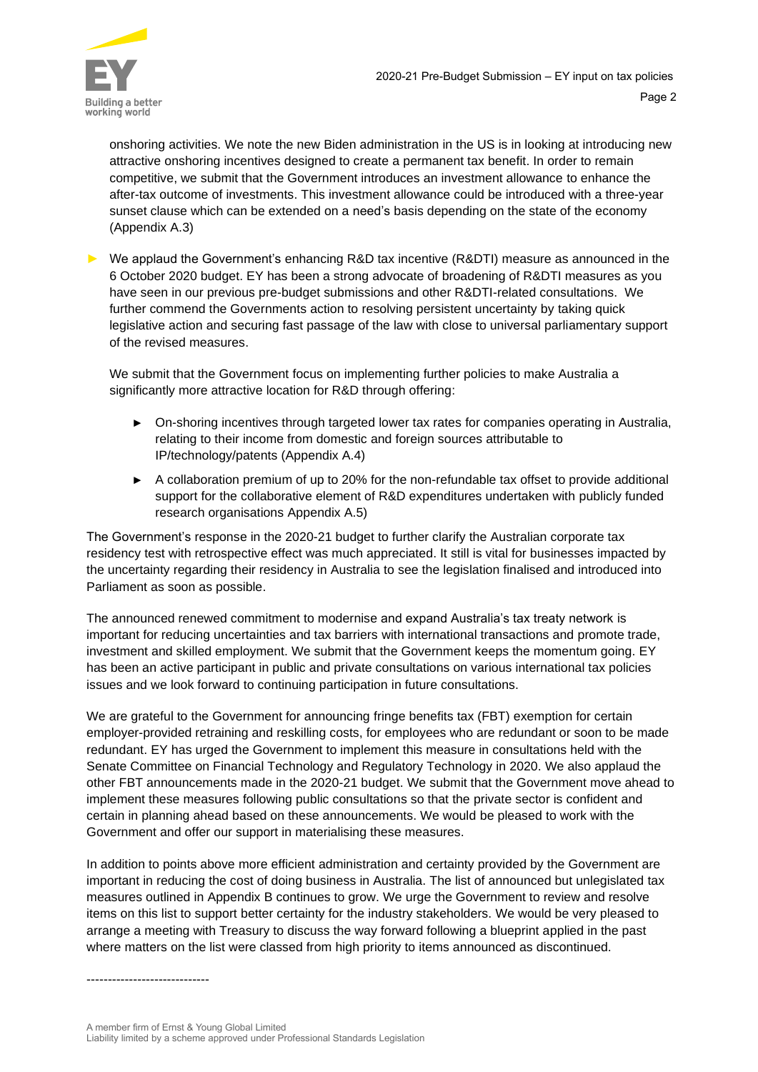

onshoring activities. We note the new Biden administration in the US is in looking at introducing new attractive onshoring incentives designed to create a permanent tax benefit. In order to remain competitive, we submit that the Government introduces an investment allowance to enhance the after-tax outcome of investments. This investment allowance could be introduced with a three-year sunset clause which can be extended on a need's basis depending on the state of the economy (Appendix A.3)

► We applaud the Government's enhancing R&D tax incentive (R&DTI) measure as announced in the 6 October 2020 budget. EY has been a strong advocate of broadening of R&DTI measures as you have seen in our previous pre-budget submissions and other R&DTI-related consultations. We further commend the Governments action to resolving persistent uncertainty by taking quick legislative action and securing fast passage of the law with close to universal parliamentary support of the revised measures.

We submit that the Government focus on implementing further policies to make Australia a significantly more attractive location for R&D through offering:

- ► On-shoring incentives through targeted lower tax rates for companies operating in Australia, relating to their income from domestic and foreign sources attributable to IP/technology/patents (Appendix A.4)
- ► A collaboration premium of up to 20% for the non-refundable tax offset to provide additional support for the collaborative element of R&D expenditures undertaken with publicly funded research organisations Appendix A.5)

The Government's response in the 2020-21 budget to further clarify the Australian corporate tax residency test with retrospective effect was much appreciated. It still is vital for businesses impacted by the uncertainty regarding their residency in Australia to see the legislation finalised and introduced into Parliament as soon as possible.

The announced renewed commitment to modernise and expand Australia's tax treaty network is important for reducing uncertainties and tax barriers with international transactions and promote trade, investment and skilled employment. We submit that the Government keeps the momentum going. EY has been an active participant in public and private consultations on various international tax policies issues and we look forward to continuing participation in future consultations.

We are grateful to the Government for announcing fringe benefits tax (FBT) exemption for certain employer-provided retraining and reskilling costs, for employees who are redundant or soon to be made redundant. EY has urged the Government to implement this measure in consultations held with the Senate Committee on Financial Technology and Regulatory Technology in 2020. We also applaud the other FBT announcements made in the 2020-21 budget. We submit that the Government move ahead to implement these measures following public consultations so that the private sector is confident and certain in planning ahead based on these announcements. We would be pleased to work with the Government and offer our support in materialising these measures.

In addition to points above more efficient administration and certainty provided by the Government are important in reducing the cost of doing business in Australia. The list of announced but unlegislated tax measures outlined in Appendix B continues to grow. We urge the Government to review and resolve items on this list to support better certainty for the industry stakeholders. We would be very pleased to arrange a meeting with Treasury to discuss the way forward following a blueprint applied in the past where matters on the list were classed from high priority to items announced as discontinued.

-----------------------------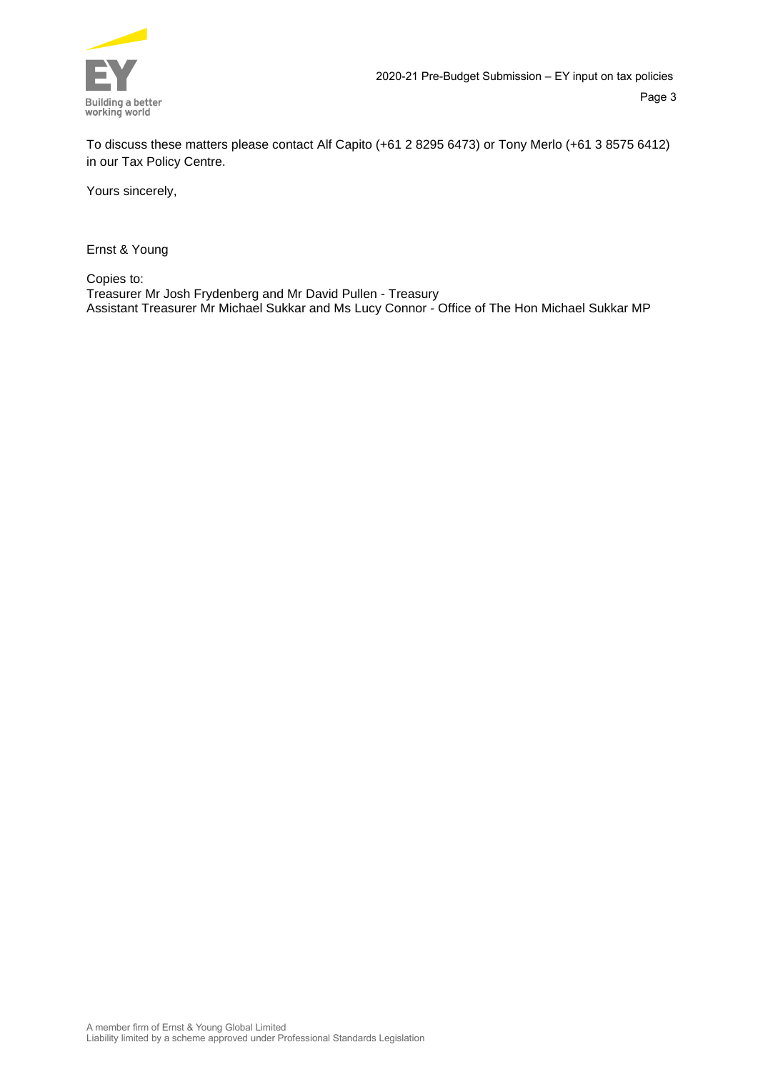

To discuss these matters please contact Alf Capito (+61 2 8295 6473) or Tony Merlo (+61 3 8575 6412) in our Tax Policy Centre.

Yours sincerely,

Ernst & Young

Copies to:

Treasurer Mr Josh Frydenberg and Mr David Pullen - Treasury Assistant Treasurer Mr Michael Sukkar and Ms Lucy Connor - Office of The Hon Michael Sukkar MP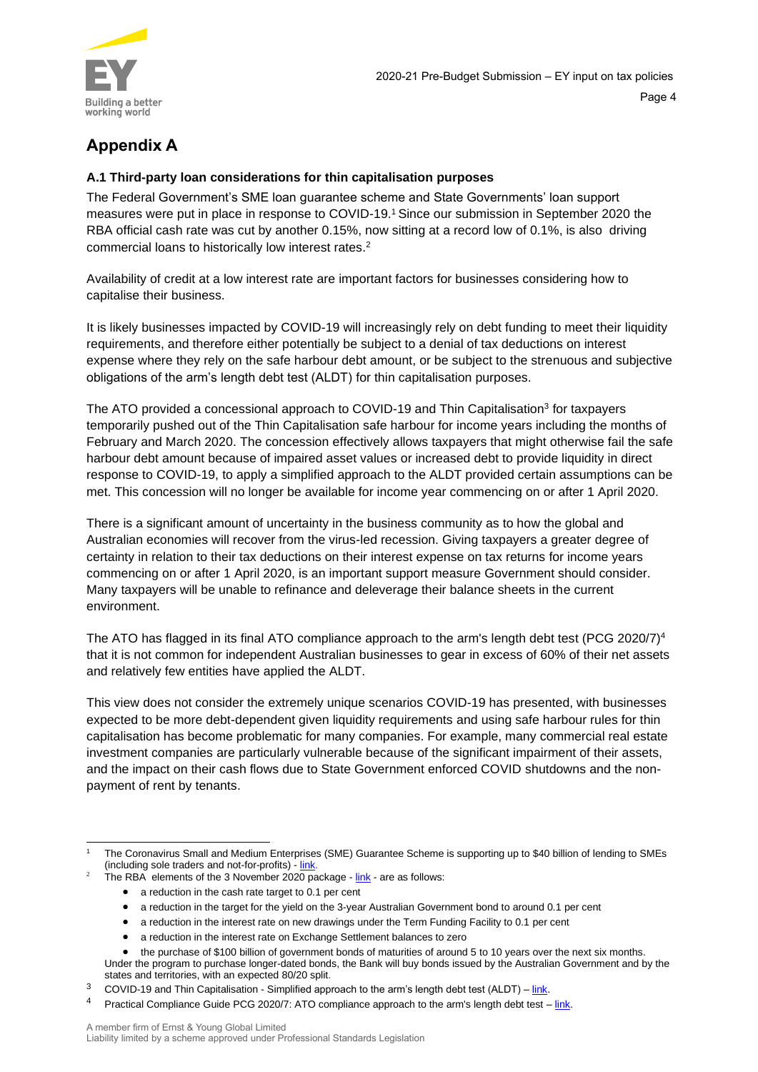

# **Appendix A**

# **A.1 Third-party loan considerations for thin capitalisation purposes**

The Federal Government's SME loan guarantee scheme and State Governments' loan support measures were put in place in response to COVID-19.<sup>1</sup> Since our submission in September 2020 the RBA official cash rate was cut by another 0.15%, now sitting at a record low of 0.1%, is also driving commercial loans to historically low interest rates. 2

Availability of credit at a low interest rate are important factors for businesses considering how to capitalise their business.

It is likely businesses impacted by COVID-19 will increasingly rely on debt funding to meet their liquidity requirements, and therefore either potentially be subject to a denial of tax deductions on interest expense where they rely on the safe harbour debt amount, or be subject to the strenuous and subjective obligations of the arm's length debt test (ALDT) for thin capitalisation purposes.

The ATO provided a concessional approach to COVID-19 and Thin Capitalisation<sup>3</sup> for taxpayers temporarily pushed out of the Thin Capitalisation safe harbour for income years including the months of February and March 2020. The concession effectively allows taxpayers that might otherwise fail the safe harbour debt amount because of impaired asset values or increased debt to provide liquidity in direct response to COVID-19, to apply a simplified approach to the ALDT provided certain assumptions can be met. This concession will no longer be available for income year commencing on or after 1 April 2020.

There is a significant amount of uncertainty in the business community as to how the global and Australian economies will recover from the virus-led recession. Giving taxpayers a greater degree of certainty in relation to their tax deductions on their interest expense on tax returns for income years commencing on or after 1 April 2020, is an important support measure Government should consider. Many taxpayers will be unable to refinance and deleverage their balance sheets in the current environment.

The ATO has flagged in its final ATO compliance approach to the arm's length debt test (PCG 2020/7)<sup>4</sup> that it is not common for independent Australian businesses to gear in excess of 60% of their net assets and relatively few entities have applied the ALDT.

This view does not consider the extremely unique scenarios COVID-19 has presented, with businesses expected to be more debt-dependent given liquidity requirements and using safe harbour rules for thin capitalisation has become problematic for many companies. For example, many commercial real estate investment companies are particularly vulnerable because of the significant impairment of their assets, and the impact on their cash flows due to State Government enforced COVID shutdowns and the nonpayment of rent by tenants.

The RBA elements of the 3 November 2020 package - [link](https://www.rba.gov.au/media-releases/2020/mr-20-28.html) - are as follows:

- a reduction in the target for the yield on the 3-year Australian Government bond to around 0.1 per cent
- a reduction in the interest rate on new drawings under the Term Funding Facility to 0.1 per cent
- a reduction in the interest rate on Exchange Settlement balances to zero

Under the program to purchase longer-dated bonds, the Bank will buy bonds issued by the Australian Government and by the states and territories, with an expected 80/20 split.

<sup>1</sup> The Coronavirus Small and Medium Enterprises (SME) Guarantee Scheme is supporting up to \$40 billion of lending to SMEs (including sole traders and not-for-profits) - [link.](https://treasury.gov.au/coronavirus/sme-guarantee-scheme)

<sup>•</sup> a reduction in the cash rate target to 0.1 per cent

the purchase of \$100 billion of government bonds of maturities of around 5 to 10 years over the next six months.

<sup>&</sup>lt;sup>3</sup> COVID-19 and Thin Capitalisation - Simplified approach to the arm's length debt test (ALDT) –  $\frac{link}{ }$ .

<sup>&</sup>lt;sup>4</sup> Practical Compliance Guide PCG 2020/7: ATO compliance approach to the arm's length debt test – [link.](https://www.ato.gov.au/law/view/document?DocID=COG/PCG20207/NAT/ATO/00001)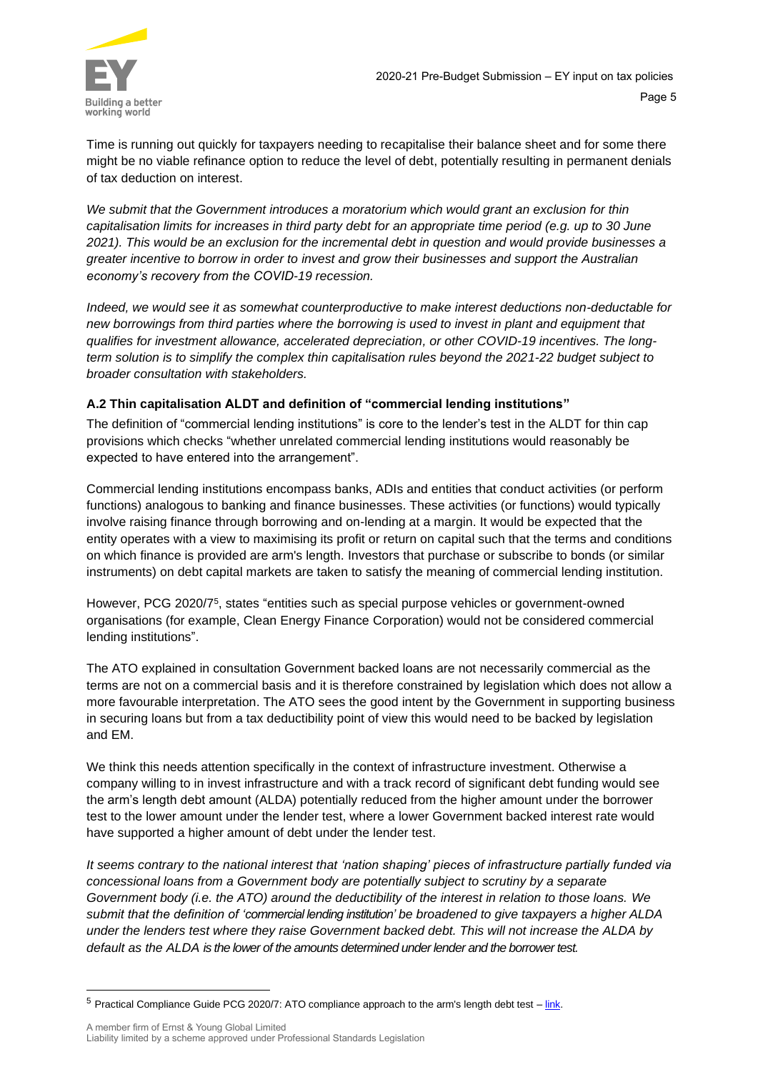

Time is running out quickly for taxpayers needing to recapitalise their balance sheet and for some there might be no viable refinance option to reduce the level of debt, potentially resulting in permanent denials of tax deduction on interest.

*We submit that the Government introduces a moratorium which would grant an exclusion for thin capitalisation limits for increases in third party debt for an appropriate time period (e.g. up to 30 June 2021). This would be an exclusion for the incremental debt in question and would provide businesses a greater incentive to borrow in order to invest and grow their businesses and support the Australian economy's recovery from the COVID-19 recession.*

*Indeed, we would see it as somewhat counterproductive to make interest deductions non-deductable for new borrowings from third parties where the borrowing is used to invest in plant and equipment that qualifies for investment allowance, accelerated depreciation, or other COVID-19 incentives. The longterm solution is to simplify the complex thin capitalisation rules beyond the 2021-22 budget subject to broader consultation with stakeholders.*

# **A.2 Thin capitalisation ALDT and definition of "commercial lending institutions"**

The definition of "commercial lending institutions" is core to the lender's test in the ALDT for thin cap provisions which checks "whether unrelated commercial lending institutions would reasonably be expected to have entered into the arrangement".

Commercial lending institutions encompass banks, ADIs and entities that conduct activities (or perform functions) analogous to banking and finance businesses. These activities (or functions) would typically involve raising finance through borrowing and on-lending at a margin. It would be expected that the entity operates with a view to maximising its profit or return on capital such that the terms and conditions on which finance is provided are arm's length. Investors that purchase or subscribe to bonds (or similar instruments) on debt capital markets are taken to satisfy the meaning of commercial lending institution.

However, PCG 2020/7<sup>5</sup>, states "entities such as special purpose vehicles or government-owned organisations (for example, Clean Energy Finance Corporation) would not be considered commercial lending institutions".

The ATO explained in consultation Government backed loans are not necessarily commercial as the terms are not on a commercial basis and it is therefore constrained by legislation which does not allow a more favourable interpretation. The ATO sees the good intent by the Government in supporting business in securing loans but from a tax deductibility point of view this would need to be backed by legislation and EM.

We think this needs attention specifically in the context of infrastructure investment. Otherwise a company willing to in invest infrastructure and with a track record of significant debt funding would see the arm's length debt amount (ALDA) potentially reduced from the higher amount under the borrower test to the lower amount under the lender test, where a lower Government backed interest rate would have supported a higher amount of debt under the lender test.

*It seems contrary to the national interest that 'nation shaping' pieces of infrastructure partially funded via concessional loans from a Government body are potentially subject to scrutiny by a separate Government body (i.e. the ATO) around the deductibility of the interest in relation to those loans. We submit that the definition of 'commercial lending institution' be broadened to give taxpayers a higher ALDA under the lenders test where they raise Government backed debt. This will not increase the ALDA by default as the ALDA is the lower of the amounts determined under lender and the borrower test.* 

 $5$  Practical Compliance Guide PCG 2020/7: ATO compliance approach to the arm's length debt test  $-\frac{link}{\cdot}$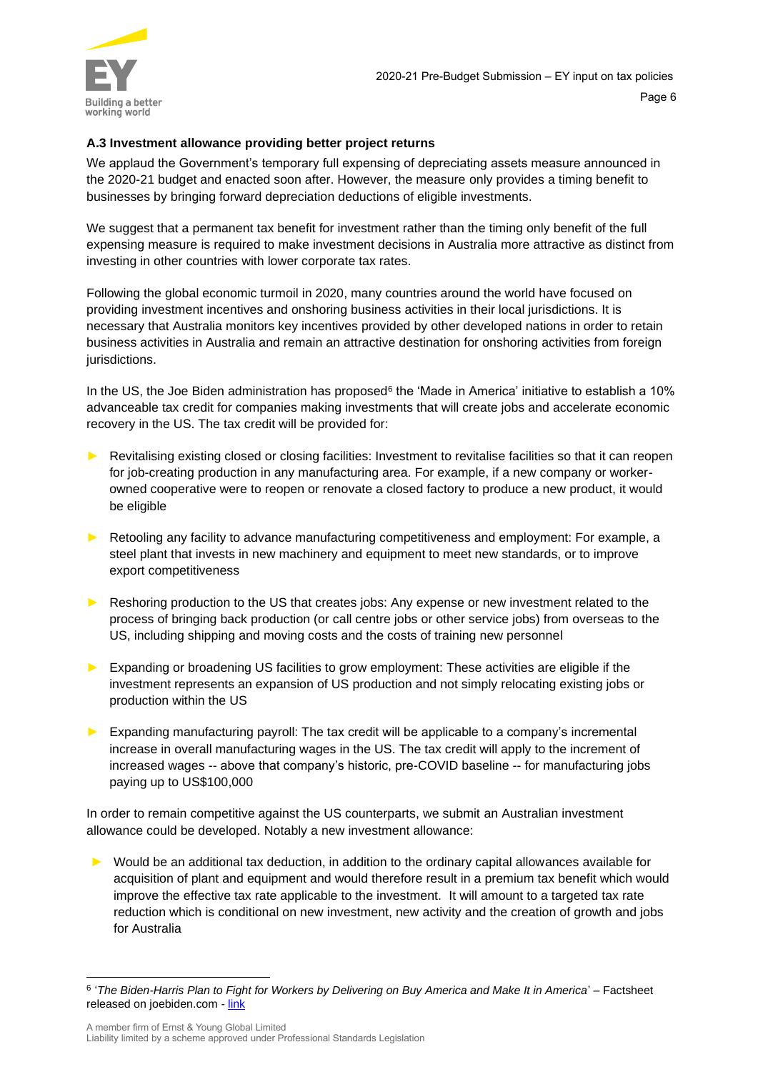

# **A.3 Investment allowance providing better project returns**

We applaud the Government's temporary full expensing of depreciating assets measure announced in the 2020-21 budget and enacted soon after. However, the measure only provides a timing benefit to businesses by bringing forward depreciation deductions of eligible investments.

We suggest that a permanent tax benefit for investment rather than the timing only benefit of the full expensing measure is required to make investment decisions in Australia more attractive as distinct from investing in other countries with lower corporate tax rates.

Following the global economic turmoil in 2020, many countries around the world have focused on providing investment incentives and onshoring business activities in their local jurisdictions. It is necessary that Australia monitors key incentives provided by other developed nations in order to retain business activities in Australia and remain an attractive destination for onshoring activities from foreign jurisdictions.

In the US, the Joe Biden administration has proposed $^6$  the 'Made in America' initiative to establish a 10%  $\,$ advanceable tax credit for companies making investments that will create jobs and accelerate economic recovery in the US. The tax credit will be provided for:

- Revitalising existing closed or closing facilities: Investment to revitalise facilities so that it can reopen for job-creating production in any manufacturing area. For example, if a new company or workerowned cooperative were to reopen or renovate a closed factory to produce a new product, it would be eligible
- ► Retooling any facility to advance manufacturing competitiveness and employment: For example, a steel plant that invests in new machinery and equipment to meet new standards, or to improve export competitiveness
- ► Reshoring production to the US that creates jobs: Any expense or new investment related to the process of bringing back production (or call centre jobs or other service jobs) from overseas to the US, including shipping and moving costs and the costs of training new personnel
- ► Expanding or broadening US facilities to grow employment: These activities are eligible if the investment represents an expansion of US production and not simply relocating existing jobs or production within the US
- Expanding manufacturing payroll: The tax credit will be applicable to a company's incremental increase in overall manufacturing wages in the US. The tax credit will apply to the increment of increased wages -- above that company's historic, pre-COVID baseline -- for manufacturing jobs paying up to US\$100,000

In order to remain competitive against the US counterparts, we submit an Australian investment allowance could be developed. Notably a new investment allowance:

► Would be an additional tax deduction, in addition to the ordinary capital allowances available for acquisition of plant and equipment and would therefore result in a premium tax benefit which would improve the effective tax rate applicable to the investment. It will amount to a targeted tax rate reduction which is conditional on new investment, new activity and the creation of growth and jobs for Australia

<sup>6</sup> '*The Biden-Harris Plan to Fight for Workers by Delivering on Buy America and Make It in America*' – Factsheet released on joebiden.com - [link](https://joebiden.com/wp-content/uploads/2020/09/Buy-America-fact-sheet.pdf)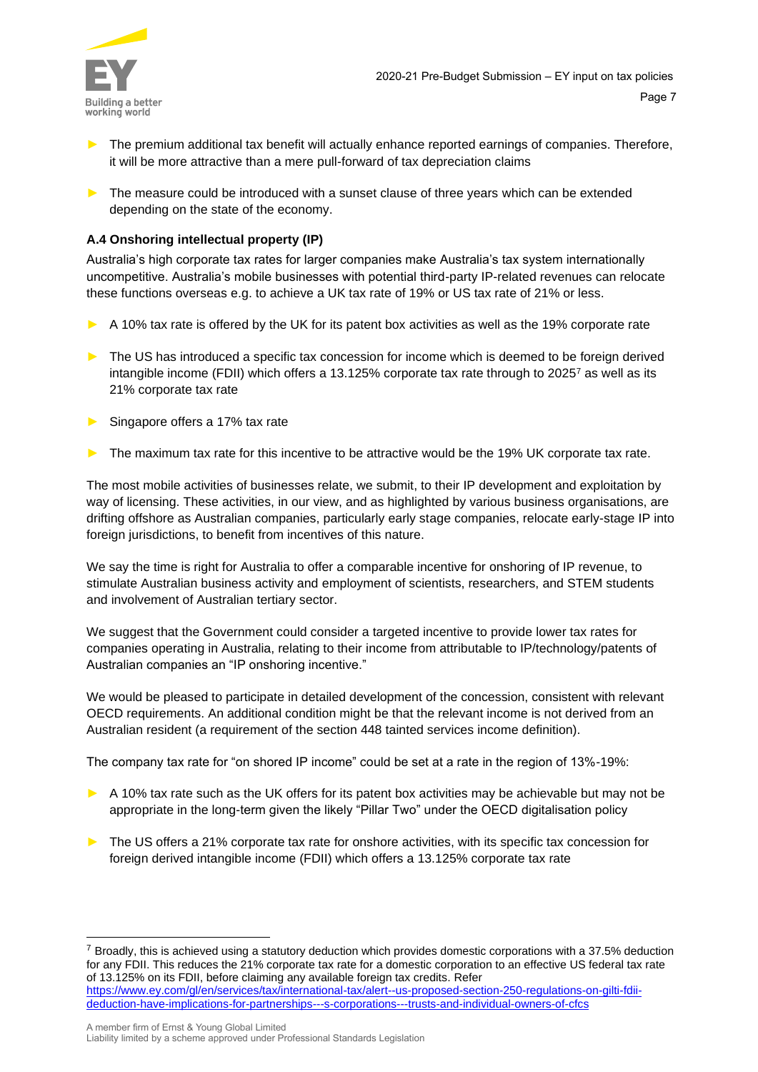

- The premium additional tax benefit will actually enhance reported earnings of companies. Therefore, it will be more attractive than a mere pull-forward of tax depreciation claims
- ► The measure could be introduced with a sunset clause of three years which can be extended depending on the state of the economy.

#### **A.4 Onshoring intellectual property (IP)**

Australia's high corporate tax rates for larger companies make Australia's tax system internationally uncompetitive. Australia's mobile businesses with potential third-party IP-related revenues can relocate these functions overseas e.g. to achieve a UK tax rate of 19% or US tax rate of 21% or less.

- A 10% tax rate is offered by the UK for its patent box activities as well as the 19% corporate rate
- ► The US has introduced a specific tax concession for income which is deemed to be foreign derived intangible income (FDII) which offers a 13.125% corporate tax rate through to 2025<sup>7</sup> as well as its 21% corporate tax rate
- Singapore offers a 17% tax rate
- The maximum tax rate for this incentive to be attractive would be the 19% UK corporate tax rate.

The most mobile activities of businesses relate, we submit, to their IP development and exploitation by way of licensing. These activities, in our view, and as highlighted by various business organisations, are drifting offshore as Australian companies, particularly early stage companies, relocate early-stage IP into foreign jurisdictions, to benefit from incentives of this nature.

We say the time is right for Australia to offer a comparable incentive for onshoring of IP revenue, to stimulate Australian business activity and employment of scientists, researchers, and STEM students and involvement of Australian tertiary sector.

We suggest that the Government could consider a targeted incentive to provide lower tax rates for companies operating in Australia, relating to their income from attributable to IP/technology/patents of Australian companies an "IP onshoring incentive."

We would be pleased to participate in detailed development of the concession, consistent with relevant OECD requirements. An additional condition might be that the relevant income is not derived from an Australian resident (a requirement of the section 448 tainted services income definition).

The company tax rate for "on shored IP income" could be set at a rate in the region of 13%-19%:

- ► A 10% tax rate such as the UK offers for its patent box activities may be achievable but may not be appropriate in the long-term given the likely "Pillar Two" under the OECD digitalisation policy
- ► The US offers a 21% corporate tax rate for onshore activities, with its specific tax concession for foreign derived intangible income (FDII) which offers a 13.125% corporate tax rate

 $7$  Broadly, this is achieved using a statutory deduction which provides domestic corporations with a 37.5% deduction for any FDII. This reduces the 21% corporate tax rate for a domestic corporation to an effective US federal tax rate of 13.125% on its FDII, before claiming any available foreign tax credits. Refer [https://www.ey.com/gl/en/services/tax/international-tax/alert--us-proposed-section-250-regulations-on-gilti-fdii](https://www.ey.com/gl/en/services/tax/international-tax/alert--us-proposed-section-250-regulations-on-gilti-fdii-deduction-have-implications-for-partnerships---s-corporations---trusts-and-individual-owners-of-cfcs)[deduction-have-implications-for-partnerships---s-corporations---trusts-and-individual-owners-of-cfcs](https://www.ey.com/gl/en/services/tax/international-tax/alert--us-proposed-section-250-regulations-on-gilti-fdii-deduction-have-implications-for-partnerships---s-corporations---trusts-and-individual-owners-of-cfcs)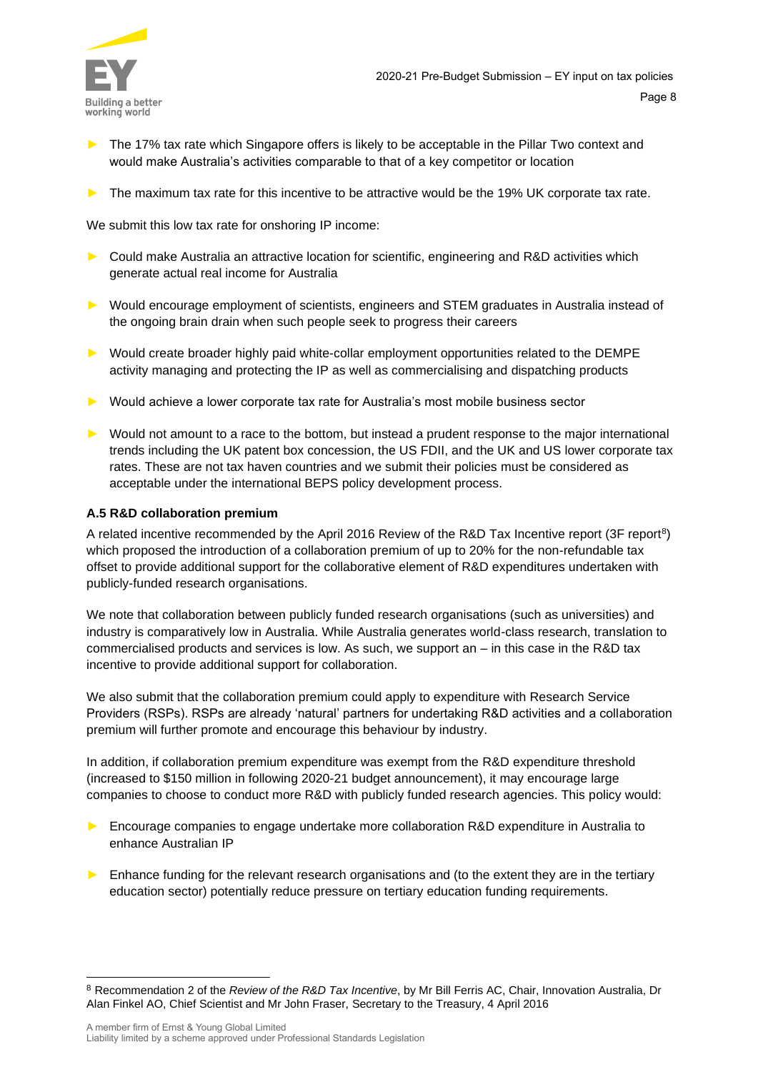

- ► The 17% tax rate which Singapore offers is likely to be acceptable in the Pillar Two context and would make Australia's activities comparable to that of a key competitor or location
- The maximum tax rate for this incentive to be attractive would be the 19% UK corporate tax rate.

We submit this low tax rate for onshoring IP income:

- ► Could make Australia an attractive location for scientific, engineering and R&D activities which generate actual real income for Australia
- ► Would encourage employment of scientists, engineers and STEM graduates in Australia instead of the ongoing brain drain when such people seek to progress their careers
- ► Would create broader highly paid white-collar employment opportunities related to the DEMPE activity managing and protecting the IP as well as commercialising and dispatching products
- ► Would achieve a lower corporate tax rate for Australia's most mobile business sector
- ► Would not amount to a race to the bottom, but instead a prudent response to the major international trends including the UK patent box concession, the US FDII, and the UK and US lower corporate tax rates. These are not tax haven countries and we submit their policies must be considered as acceptable under the international BEPS policy development process.

#### **A.5 R&D collaboration premium**

A related incentive recommended by the April 2016 Review of the R&D Tax Incentive report (3F report<sup>8</sup>) which proposed the introduction of a collaboration premium of up to 20% for the non-refundable tax offset to provide additional support for the collaborative element of R&D expenditures undertaken with publicly-funded research organisations.

We note that collaboration between publicly funded research organisations (such as universities) and industry is comparatively low in Australia. While Australia generates world-class research, translation to commercialised products and services is low. As such, we support an – in this case in the R&D tax incentive to provide additional support for collaboration.

We also submit that the collaboration premium could apply to expenditure with Research Service Providers (RSPs). RSPs are already 'natural' partners for undertaking R&D activities and a collaboration premium will further promote and encourage this behaviour by industry.

In addition, if collaboration premium expenditure was exempt from the R&D expenditure threshold (increased to \$150 million in following 2020-21 budget announcement), it may encourage large companies to choose to conduct more R&D with publicly funded research agencies. This policy would:

- Encourage companies to engage undertake more collaboration R&D expenditure in Australia to enhance Australian IP
- Enhance funding for the relevant research organisations and (to the extent they are in the tertiary education sector) potentially reduce pressure on tertiary education funding requirements.

<sup>8</sup> Recommendation 2 of the *Review of the R&D Tax Incentive*, by Mr Bill Ferris AC, Chair, Innovation Australia, Dr Alan Finkel AO, Chief Scientist and Mr John Fraser, Secretary to the Treasury, 4 April 2016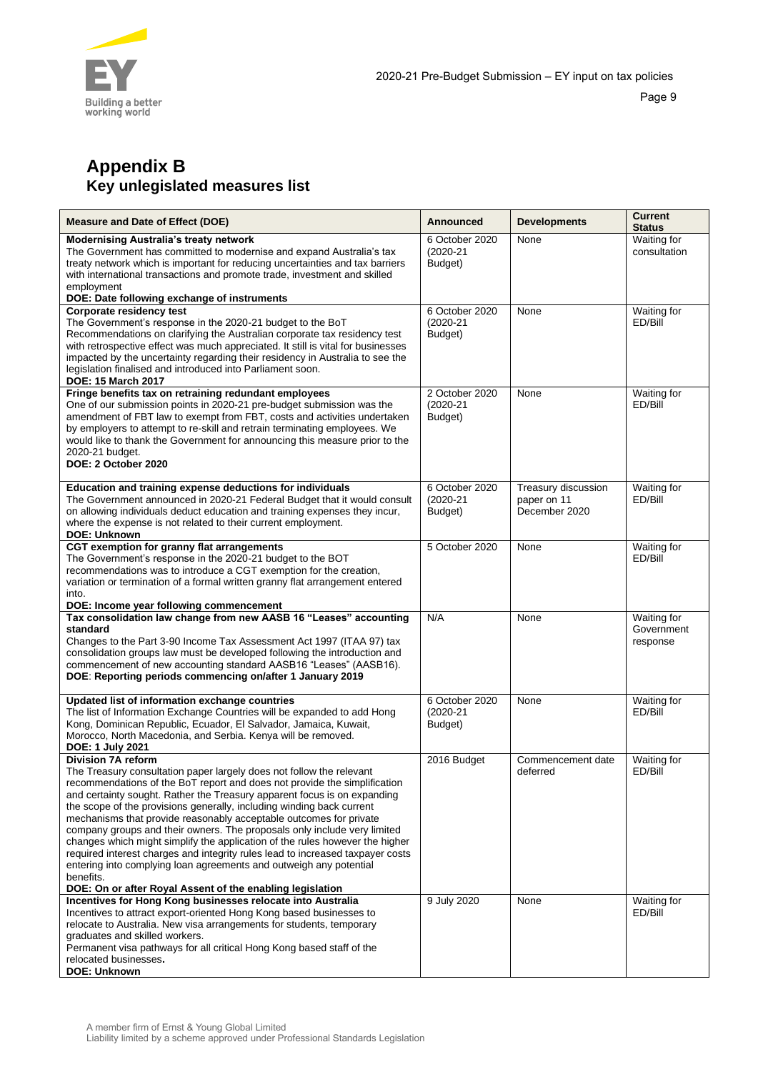

# **Appendix B Key unlegislated measures list**

| <b>Measure and Date of Effect (DOE)</b>                                                                                                                                                                                                                                                                                                                                                                                                                                                                                                                                                                                                                                                                                                                                                                 | Announced                                  | <b>Developments</b>                                 | <b>Current</b><br><b>Status</b>       |
|---------------------------------------------------------------------------------------------------------------------------------------------------------------------------------------------------------------------------------------------------------------------------------------------------------------------------------------------------------------------------------------------------------------------------------------------------------------------------------------------------------------------------------------------------------------------------------------------------------------------------------------------------------------------------------------------------------------------------------------------------------------------------------------------------------|--------------------------------------------|-----------------------------------------------------|---------------------------------------|
| <b>Modernising Australia's treaty network</b><br>The Government has committed to modernise and expand Australia's tax<br>treaty network which is important for reducing uncertainties and tax barriers<br>with international transactions and promote trade, investment and skilled<br>employment<br>DOE: Date following exchange of instruments                                                                                                                                                                                                                                                                                                                                                                                                                                                        | 6 October 2020<br>$(2020 - 21)$<br>Budget) | None                                                | Waiting for<br>consultation           |
| Corporate residency test<br>The Government's response in the 2020-21 budget to the BoT<br>Recommendations on clarifying the Australian corporate tax residency test<br>with retrospective effect was much appreciated. It still is vital for businesses<br>impacted by the uncertainty regarding their residency in Australia to see the<br>legislation finalised and introduced into Parliament soon.<br><b>DOE: 15 March 2017</b>                                                                                                                                                                                                                                                                                                                                                                     | 6 October 2020<br>$(2020 - 21)$<br>Budget) | None                                                | Waiting for<br>ED/Bill                |
| Fringe benefits tax on retraining redundant employees<br>One of our submission points in 2020-21 pre-budget submission was the<br>amendment of FBT law to exempt from FBT, costs and activities undertaken<br>by employers to attempt to re-skill and retrain terminating employees. We<br>would like to thank the Government for announcing this measure prior to the<br>2020-21 budget.<br>DOE: 2 October 2020                                                                                                                                                                                                                                                                                                                                                                                        | 2 October 2020<br>$(2020 - 21)$<br>Budget) | None                                                | Waiting for<br>ED/Bill                |
| Education and training expense deductions for individuals<br>The Government announced in 2020-21 Federal Budget that it would consult<br>on allowing individuals deduct education and training expenses they incur.<br>where the expense is not related to their current employment.<br><b>DOE: Unknown</b>                                                                                                                                                                                                                                                                                                                                                                                                                                                                                             | 6 October 2020<br>(2020-21<br>Budget)      | Treasury discussion<br>paper on 11<br>December 2020 | Waiting for<br>ED/Bill                |
| CGT exemption for granny flat arrangements<br>The Government's response in the 2020-21 budget to the BOT<br>recommendations was to introduce a CGT exemption for the creation,<br>variation or termination of a formal written granny flat arrangement entered<br>into.<br>DOE: Income year following commencement                                                                                                                                                                                                                                                                                                                                                                                                                                                                                      | 5 October 2020                             | None                                                | Waiting for<br>ED/Bill                |
| Tax consolidation law change from new AASB 16 "Leases" accounting<br>standard<br>Changes to the Part 3-90 Income Tax Assessment Act 1997 (ITAA 97) tax<br>consolidation groups law must be developed following the introduction and<br>commencement of new accounting standard AASB16 "Leases" (AASB16).<br>DOE: Reporting periods commencing on/after 1 January 2019                                                                                                                                                                                                                                                                                                                                                                                                                                   | N/A                                        | None                                                | Waiting for<br>Government<br>response |
| Updated list of information exchange countries<br>The list of Information Exchange Countries will be expanded to add Hong<br>Kong, Dominican Republic, Ecuador, El Salvador, Jamaica, Kuwait,<br>Morocco, North Macedonia, and Serbia. Kenya will be removed.<br>DOE: 1 July 2021                                                                                                                                                                                                                                                                                                                                                                                                                                                                                                                       | 6 October 2020<br>(2020-21<br>Budget)      | None                                                | Waiting for<br>ED/Bill                |
| <b>Division 7A reform</b><br>The Treasury consultation paper largely does not follow the relevant<br>recommendations of the BoT report and does not provide the simplification<br>and certainty sought. Rather the Treasury apparent focus is on expanding<br>the scope of the provisions generally, including winding back current<br>mechanisms that provide reasonably acceptable outcomes for private<br>company groups and their owners. The proposals only include very limited<br>changes which might simplify the application of the rules however the higher<br>required interest charges and integrity rules lead to increased taxpayer costs<br>entering into complying loan agreements and outweigh any potential<br>benefits.<br>DOE: On or after Royal Assent of the enabling legislation | 2016 Budget                                | Commencement date<br>deferred                       | Waiting for<br>ED/Bill                |
| Incentives for Hong Kong businesses relocate into Australia<br>Incentives to attract export-oriented Hong Kong based businesses to<br>relocate to Australia. New visa arrangements for students, temporary<br>graduates and skilled workers.<br>Permanent visa pathways for all critical Hong Kong based staff of the<br>relocated businesses.<br><b>DOE: Unknown</b>                                                                                                                                                                                                                                                                                                                                                                                                                                   | 9 July 2020                                | None                                                | Waiting for<br>ED/Bill                |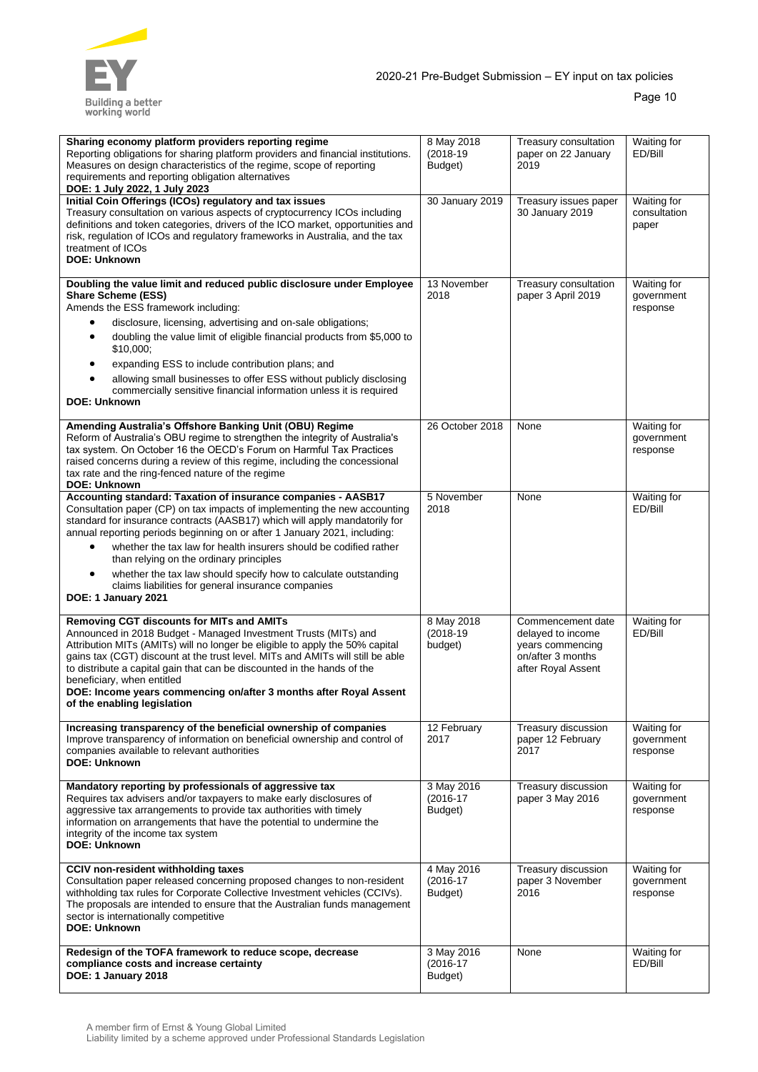

| Sharing economy platform providers reporting regime<br>Reporting obligations for sharing platform providers and financial institutions.<br>Measures on design characteristics of the regime, scope of reporting<br>requirements and reporting obligation alternatives<br>DOE: 1 July 2022, 1 July 2023                                                                                                                                                                                                                                                                             | 8 May 2018<br>$(2018 - 19)$<br>Budget) | Treasury consultation<br>paper on 22 January<br>2019                                                  | Waiting for<br>ED/Bill                |
|------------------------------------------------------------------------------------------------------------------------------------------------------------------------------------------------------------------------------------------------------------------------------------------------------------------------------------------------------------------------------------------------------------------------------------------------------------------------------------------------------------------------------------------------------------------------------------|----------------------------------------|-------------------------------------------------------------------------------------------------------|---------------------------------------|
| Initial Coin Offerings (ICOs) regulatory and tax issues<br>Treasury consultation on various aspects of cryptocurrency ICOs including<br>definitions and token categories, drivers of the ICO market, opportunities and<br>risk, regulation of ICOs and regulatory frameworks in Australia, and the tax<br>treatment of ICOs<br><b>DOE: Unknown</b>                                                                                                                                                                                                                                 | 30 January 2019                        | Treasury issues paper<br>30 January 2019                                                              | Waiting for<br>consultation<br>paper  |
| Doubling the value limit and reduced public disclosure under Employee<br><b>Share Scheme (ESS)</b><br>Amends the ESS framework including:<br>disclosure, licensing, advertising and on-sale obligations;<br>doubling the value limit of eligible financial products from \$5,000 to<br>$\bullet$<br>\$10,000;<br>expanding ESS to include contribution plans; and<br>allowing small businesses to offer ESS without publicly disclosing<br>commercially sensitive financial information unless it is required<br><b>DOE: Unknown</b>                                               | 13 November<br>2018                    | Treasury consultation<br>paper 3 April 2019                                                           | Waiting for<br>government<br>response |
| Amending Australia's Offshore Banking Unit (OBU) Regime<br>Reform of Australia's OBU regime to strengthen the integrity of Australia's<br>tax system. On October 16 the OECD's Forum on Harmful Tax Practices<br>raised concerns during a review of this regime, including the concessional<br>tax rate and the ring-fenced nature of the regime<br><b>DOE: Unknown</b>                                                                                                                                                                                                            | 26 October 2018                        | None                                                                                                  | Waiting for<br>government<br>response |
| Accounting standard: Taxation of insurance companies - AASB17<br>Consultation paper (CP) on tax impacts of implementing the new accounting<br>standard for insurance contracts (AASB17) which will apply mandatorily for<br>annual reporting periods beginning on or after 1 January 2021, including:<br>whether the tax law for health insurers should be codified rather<br>$\bullet$<br>than relying on the ordinary principles<br>whether the tax law should specify how to calculate outstanding<br>claims liabilities for general insurance companies<br>DOE: 1 January 2021 | 5 November<br>2018                     | None                                                                                                  | Waiting for<br>ED/Bill                |
| <b>Removing CGT discounts for MITs and AMITs</b><br>Announced in 2018 Budget - Managed Investment Trusts (MITs) and<br>Attribution MITs (AMITs) will no longer be eligible to apply the 50% capital<br>gains tax (CGT) discount at the trust level. MITs and AMITs will still be able<br>to distribute a capital gain that can be discounted in the hands of the<br>beneficiary, when entitled<br>DOE: Income years commencing on/after 3 months after Royal Assent<br>of the enabling legislation                                                                                 | 8 May 2018<br>$(2018 - 19)$<br>budget) | Commencement date<br>delayed to income<br>years commencing<br>on/after 3 months<br>after Royal Assent | Waiting for<br>ED/Bill                |
| Increasing transparency of the beneficial ownership of companies<br>Improve transparency of information on beneficial ownership and control of<br>companies available to relevant authorities<br><b>DOE: Unknown</b>                                                                                                                                                                                                                                                                                                                                                               | 12 February<br>2017                    | Treasury discussion<br>paper 12 February<br>2017                                                      | Waiting for<br>government<br>response |
| Mandatory reporting by professionals of aggressive tax<br>Requires tax advisers and/or taxpayers to make early disclosures of<br>aggressive tax arrangements to provide tax authorities with timely<br>information on arrangements that have the potential to undermine the<br>integrity of the income tax system<br><b>DOE: Unknown</b>                                                                                                                                                                                                                                           | 3 May 2016<br>$(2016-17)$<br>Budget)   | Treasury discussion<br>paper 3 May 2016                                                               | Waiting for<br>government<br>response |
| CCIV non-resident withholding taxes<br>Consultation paper released concerning proposed changes to non-resident<br>withholding tax rules for Corporate Collective Investment vehicles (CCIVs).<br>The proposals are intended to ensure that the Australian funds management<br>sector is internationally competitive<br><b>DOE: Unknown</b>                                                                                                                                                                                                                                         | 4 May 2016<br>$(2016-17)$<br>Budget)   | Treasury discussion<br>paper 3 November<br>2016                                                       | Waiting for<br>government<br>response |
| Redesign of the TOFA framework to reduce scope, decrease<br>compliance costs and increase certainty<br>DOE: 1 January 2018                                                                                                                                                                                                                                                                                                                                                                                                                                                         | 3 May 2016<br>$(2016-17)$<br>Budget)   | None                                                                                                  | Waiting for<br>ED/Bill                |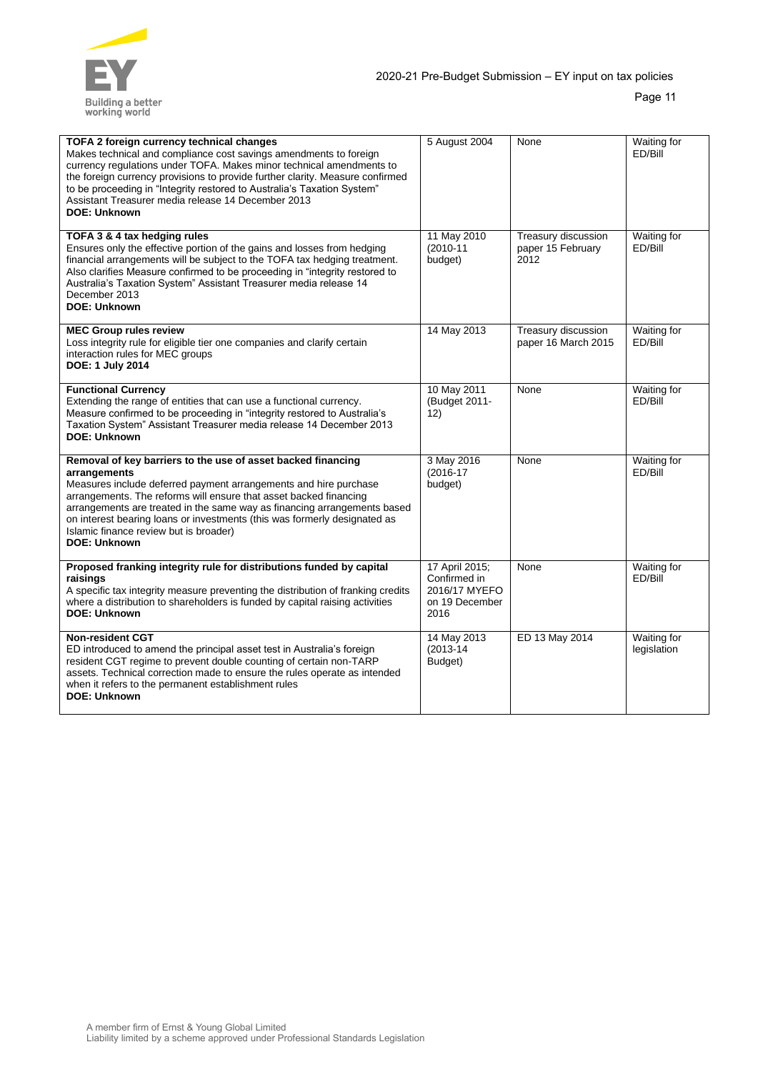

| TOFA 2 foreign currency technical changes<br>Makes technical and compliance cost savings amendments to foreign<br>currency regulations under TOFA. Makes minor technical amendments to<br>the foreign currency provisions to provide further clarity. Measure confirmed<br>to be proceeding in "Integrity restored to Australia's Taxation System"<br>Assistant Treasurer media release 14 December 2013<br><b>DOE: Unknown</b>                 | 5 August 2004                                                             | None                                             | Waiting for<br>ED/Bill            |
|-------------------------------------------------------------------------------------------------------------------------------------------------------------------------------------------------------------------------------------------------------------------------------------------------------------------------------------------------------------------------------------------------------------------------------------------------|---------------------------------------------------------------------------|--------------------------------------------------|-----------------------------------|
| TOFA 3 & 4 tax hedging rules<br>Ensures only the effective portion of the gains and losses from hedging<br>financial arrangements will be subject to the TOFA tax hedging treatment.<br>Also clarifies Measure confirmed to be proceeding in "integrity restored to<br>Australia's Taxation System" Assistant Treasurer media release 14<br>December 2013<br><b>DOE: Unknown</b>                                                                | 11 May 2010<br>$(2010 - 11)$<br>budget)                                   | Treasury discussion<br>paper 15 February<br>2012 | Waiting for<br>ED/Bill            |
| <b>MEC Group rules review</b><br>Loss integrity rule for eligible tier one companies and clarify certain<br>interaction rules for MEC groups<br>DOE: 1 July 2014                                                                                                                                                                                                                                                                                | 14 May 2013                                                               | Treasury discussion<br>paper 16 March 2015       | Waiting for<br>ED/Bill            |
| <b>Functional Currency</b><br>Extending the range of entities that can use a functional currency.<br>Measure confirmed to be proceeding in "integrity restored to Australia's<br>Taxation System" Assistant Treasurer media release 14 December 2013<br><b>DOE: Unknown</b>                                                                                                                                                                     | 10 May 2011<br>(Budget 2011-<br>12)                                       | None                                             | Waiting for<br>ED/Bill            |
| Removal of key barriers to the use of asset backed financing<br>arrangements<br>Measures include deferred payment arrangements and hire purchase<br>arrangements. The reforms will ensure that asset backed financing<br>arrangements are treated in the same way as financing arrangements based<br>on interest bearing loans or investments (this was formerly designated as<br>Islamic finance review but is broader)<br><b>DOE: Unknown</b> | 3 May 2016<br>$(2016 - 17)$<br>budget)                                    | None                                             | Waiting for<br>ED/Bill            |
| Proposed franking integrity rule for distributions funded by capital<br>raisings<br>A specific tax integrity measure preventing the distribution of franking credits<br>where a distribution to shareholders is funded by capital raising activities<br><b>DOE: Unknown</b>                                                                                                                                                                     | 17 April 2015;<br>Confirmed in<br>2016/17 MYEFO<br>on 19 December<br>2016 | None                                             | Waiting for<br>ED/Bill            |
| <b>Non-resident CGT</b><br>ED introduced to amend the principal asset test in Australia's foreign<br>resident CGT regime to prevent double counting of certain non-TARP<br>assets. Technical correction made to ensure the rules operate as intended<br>when it refers to the permanent establishment rules<br><b>DOE: Unknown</b>                                                                                                              | 14 May 2013<br>$(2013 - 14)$<br>Budget)                                   | ED 13 May 2014                                   | <b>Waiting for</b><br>legislation |